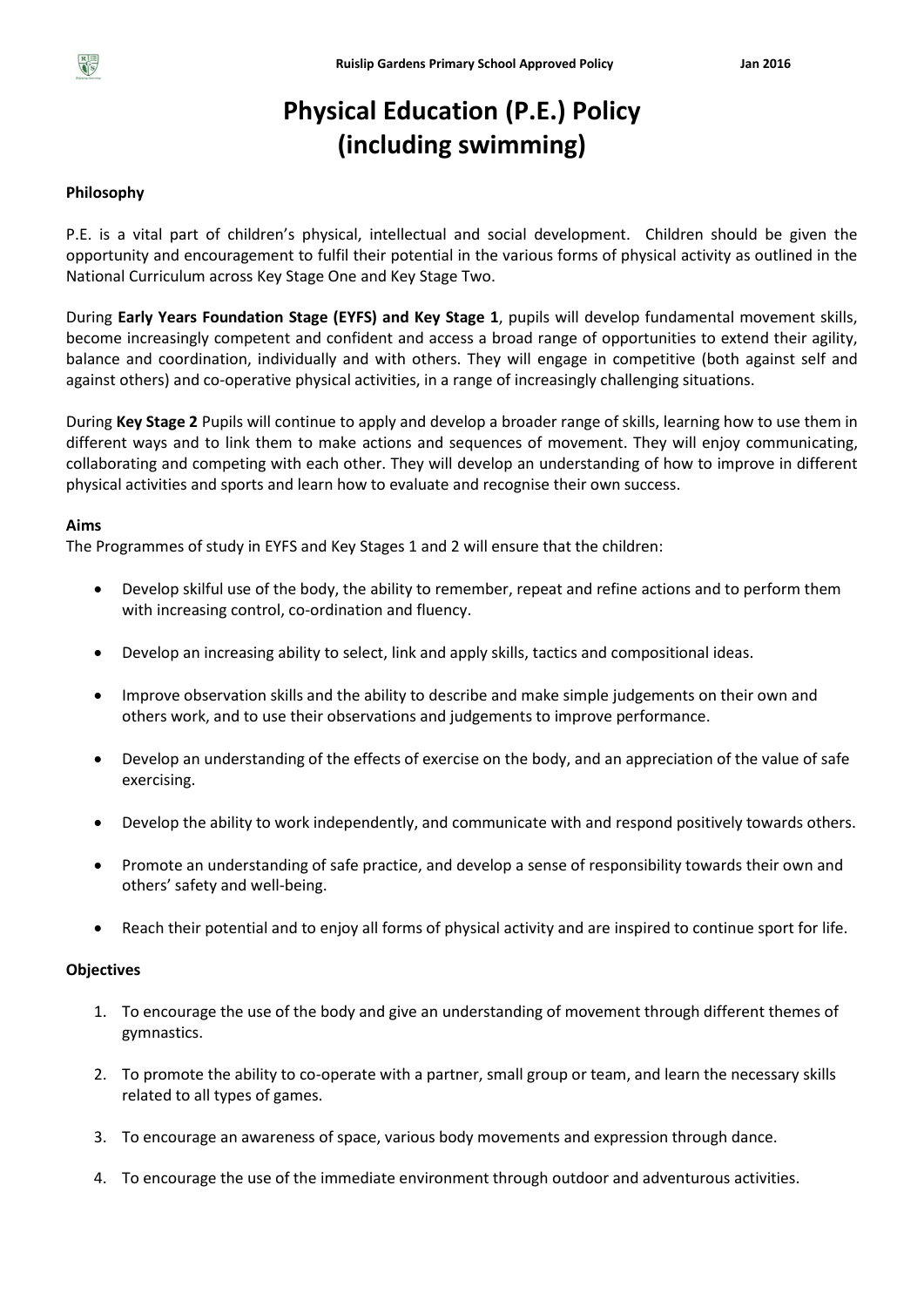

# **Physical Education (P.E.) Policy (including swimming)**

#### **Philosophy**

P.E. is a vital part of children's physical, intellectual and social development. Children should be given the opportunity and encouragement to fulfil their potential in the various forms of physical activity as outlined in the National Curriculum across Key Stage One and Key Stage Two.

During **Early Years Foundation Stage (EYFS) and Key Stage 1**, pupils will develop fundamental movement skills, become increasingly competent and confident and access a broad range of opportunities to extend their agility, balance and coordination, individually and with others. They will engage in competitive (both against self and against others) and co-operative physical activities, in a range of increasingly challenging situations.

During **Key Stage 2** Pupils will continue to apply and develop a broader range of skills, learning how to use them in different ways and to link them to make actions and sequences of movement. They will enjoy communicating, collaborating and competing with each other. They will develop an understanding of how to improve in different physical activities and sports and learn how to evaluate and recognise their own success.

#### **Aims**

The Programmes of study in EYFS and Key Stages 1 and 2 will ensure that the children:

- Develop skilful use of the body, the ability to remember, repeat and refine actions and to perform them with increasing control, co-ordination and fluency.
- Develop an increasing ability to select, link and apply skills, tactics and compositional ideas.
- Improve observation skills and the ability to describe and make simple judgements on their own and others work, and to use their observations and judgements to improve performance.
- Develop an understanding of the effects of exercise on the body, and an appreciation of the value of safe exercising.
- Develop the ability to work independently, and communicate with and respond positively towards others.
- Promote an understanding of safe practice, and develop a sense of responsibility towards their own and others' safety and well-being.
- Reach their potential and to enjoy all forms of physical activity and are inspired to continue sport for life.

#### **Objectives**

- 1. To encourage the use of the body and give an understanding of movement through different themes of gymnastics.
- 2. To promote the ability to co-operate with a partner, small group or team, and learn the necessary skills related to all types of games.
- 3. To encourage an awareness of space, various body movements and expression through dance.
- 4. To encourage the use of the immediate environment through outdoor and adventurous activities.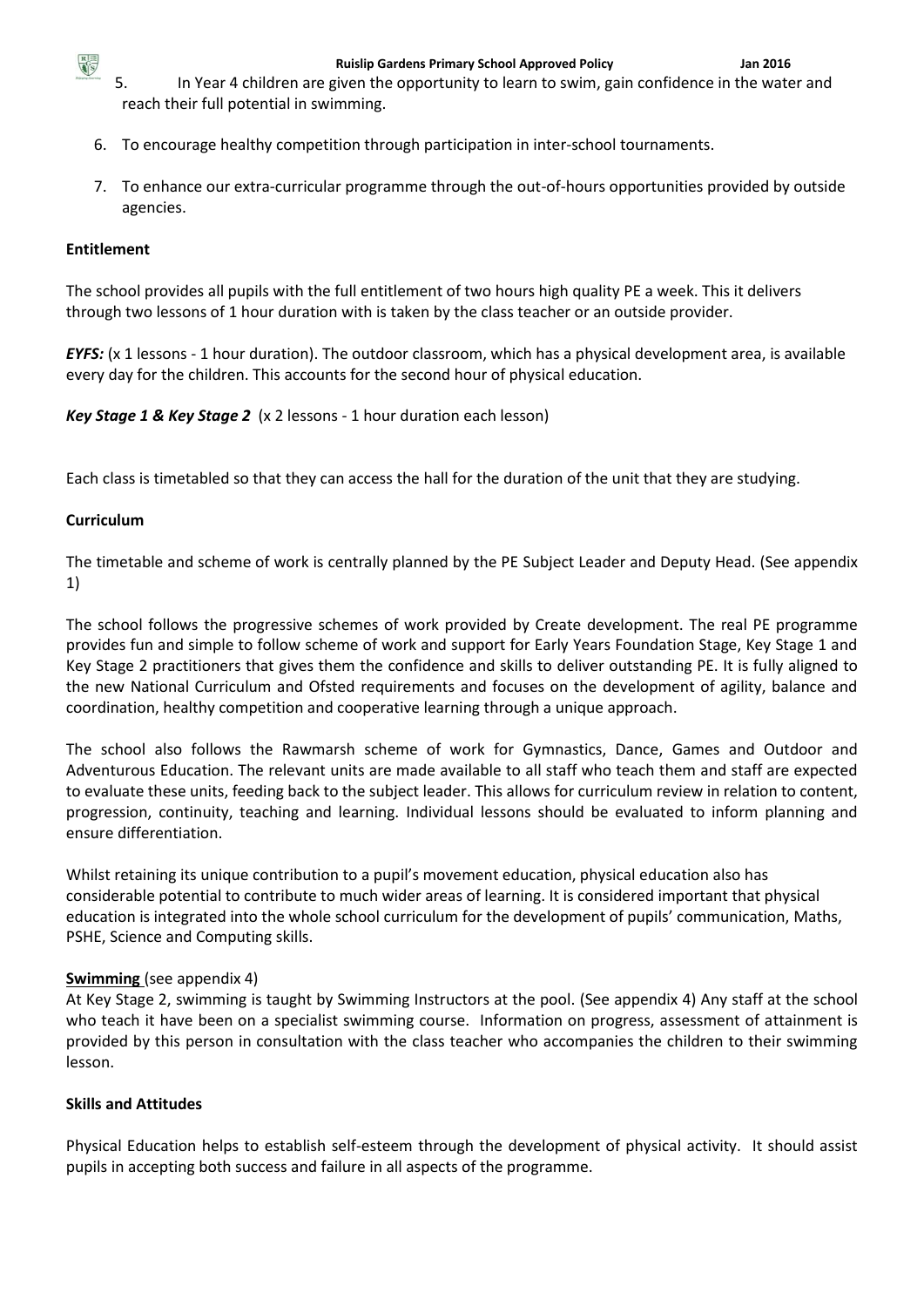

- 5. In Year 4 children are given the opportunity to learn to swim, gain confidence in the water and reach their full potential in swimming.
- 6. To encourage healthy competition through participation in inter-school tournaments.
- 7. To enhance our extra-curricular programme through the out-of-hours opportunities provided by outside agencies.

## **Entitlement**

The school provides all pupils with the full entitlement of two hours high quality PE a week. This it delivers through two lessons of 1 hour duration with is taken by the class teacher or an outside provider.

*EYFS:* (x 1 lessons - 1 hour duration). The outdoor classroom, which has a physical development area, is available every day for the children. This accounts for the second hour of physical education.

*Key Stage 1 & Key Stage 2* (x 2 lessons - 1 hour duration each lesson)

Each class is timetabled so that they can access the hall for the duration of the unit that they are studying.

### **Curriculum**

The timetable and scheme of work is centrally planned by the PE Subject Leader and Deputy Head. (See appendix 1)

The school follows the progressive schemes of work provided by Create development. The real PE programme provides fun and simple to follow scheme of work and support for Early Years Foundation Stage, Key Stage 1 and Key Stage 2 practitioners that gives them the confidence and skills to deliver outstanding PE. It is fully aligned to the new National Curriculum and Ofsted requirements and focuses on the development of agility, balance and coordination, healthy competition and cooperative learning through a unique approach.

The school also follows the Rawmarsh scheme of work for Gymnastics, Dance, Games and Outdoor and Adventurous Education. The relevant units are made available to all staff who teach them and staff are expected to evaluate these units, feeding back to the subject leader. This allows for curriculum review in relation to content, progression, continuity, teaching and learning. Individual lessons should be evaluated to inform planning and ensure differentiation.

Whilst retaining its unique contribution to a pupil's movement education, physical education also has considerable potential to contribute to much wider areas of learning. It is considered important that physical education is integrated into the whole school curriculum for the development of pupils' communication, Maths, PSHE, Science and Computing skills.

# **Swimming** (see appendix 4)

At Key Stage 2, swimming is taught by Swimming Instructors at the pool. (See appendix 4) Any staff at the school who teach it have been on a specialist swimming course. Information on progress, assessment of attainment is provided by this person in consultation with the class teacher who accompanies the children to their swimming lesson.

# **Skills and Attitudes**

Physical Education helps to establish self-esteem through the development of physical activity. It should assist pupils in accepting both success and failure in all aspects of the programme.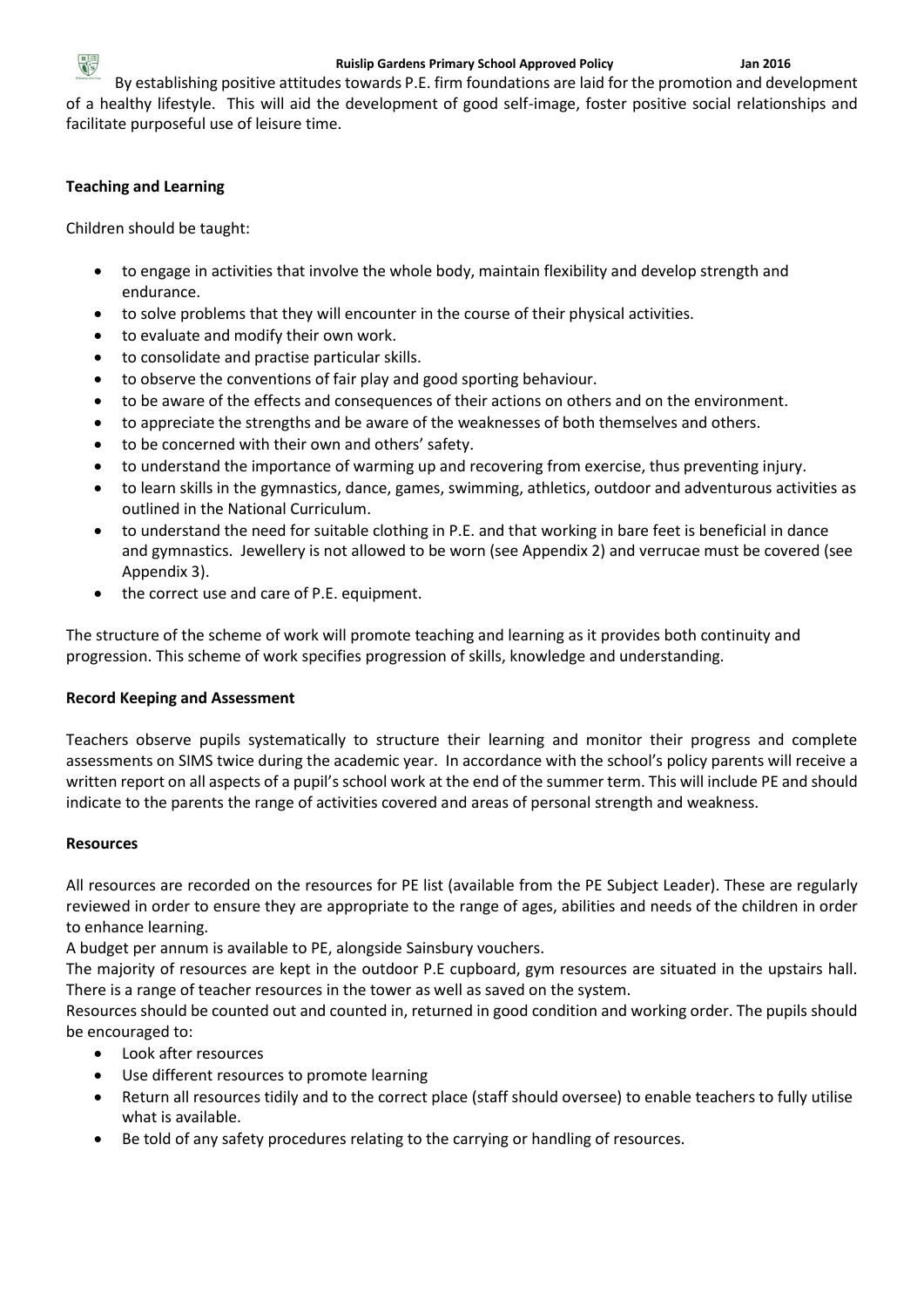

By establishing positive attitudes towards P.E. firm foundations are laid for the promotion and development of a healthy lifestyle. This will aid the development of good self-image, foster positive social relationships and facilitate purposeful use of leisure time.

# **Teaching and Learning**

Children should be taught:

- to engage in activities that involve the whole body, maintain flexibility and develop strength and endurance.
- to solve problems that they will encounter in the course of their physical activities.
- to evaluate and modify their own work.
- to consolidate and practise particular skills.
- to observe the conventions of fair play and good sporting behaviour.
- to be aware of the effects and consequences of their actions on others and on the environment.
- to appreciate the strengths and be aware of the weaknesses of both themselves and others.
- to be concerned with their own and others' safety.
- to understand the importance of warming up and recovering from exercise, thus preventing injury.
- to learn skills in the gymnastics, dance, games, swimming, athletics, outdoor and adventurous activities as outlined in the National Curriculum.
- to understand the need for suitable clothing in P.E. and that working in bare feet is beneficial in dance and gymnastics. Jewellery is not allowed to be worn (see Appendix 2) and verrucae must be covered (see Appendix 3).
- the correct use and care of P.E. equipment.

The structure of the scheme of work will promote teaching and learning as it provides both continuity and progression. This scheme of work specifies progression of skills, knowledge and understanding.

# **Record Keeping and Assessment**

Teachers observe pupils systematically to structure their learning and monitor their progress and complete assessments on SIMS twice during the academic year. In accordance with the school's policy parents will receive a written report on all aspects of a pupil's school work at the end of the summer term. This will include PE and should indicate to the parents the range of activities covered and areas of personal strength and weakness.

# **Resources**

All resources are recorded on the resources for PE list (available from the PE Subject Leader). These are regularly reviewed in order to ensure they are appropriate to the range of ages, abilities and needs of the children in order to enhance learning.

A budget per annum is available to PE, alongside Sainsbury vouchers.

The majority of resources are kept in the outdoor P.E cupboard, gym resources are situated in the upstairs hall. There is a range of teacher resources in the tower as well as saved on the system.

Resources should be counted out and counted in, returned in good condition and working order. The pupils should be encouraged to:

- Look after resources
- Use different resources to promote learning
- Return all resources tidily and to the correct place (staff should oversee) to enable teachers to fully utilise what is available.
- Be told of any safety procedures relating to the carrying or handling of resources.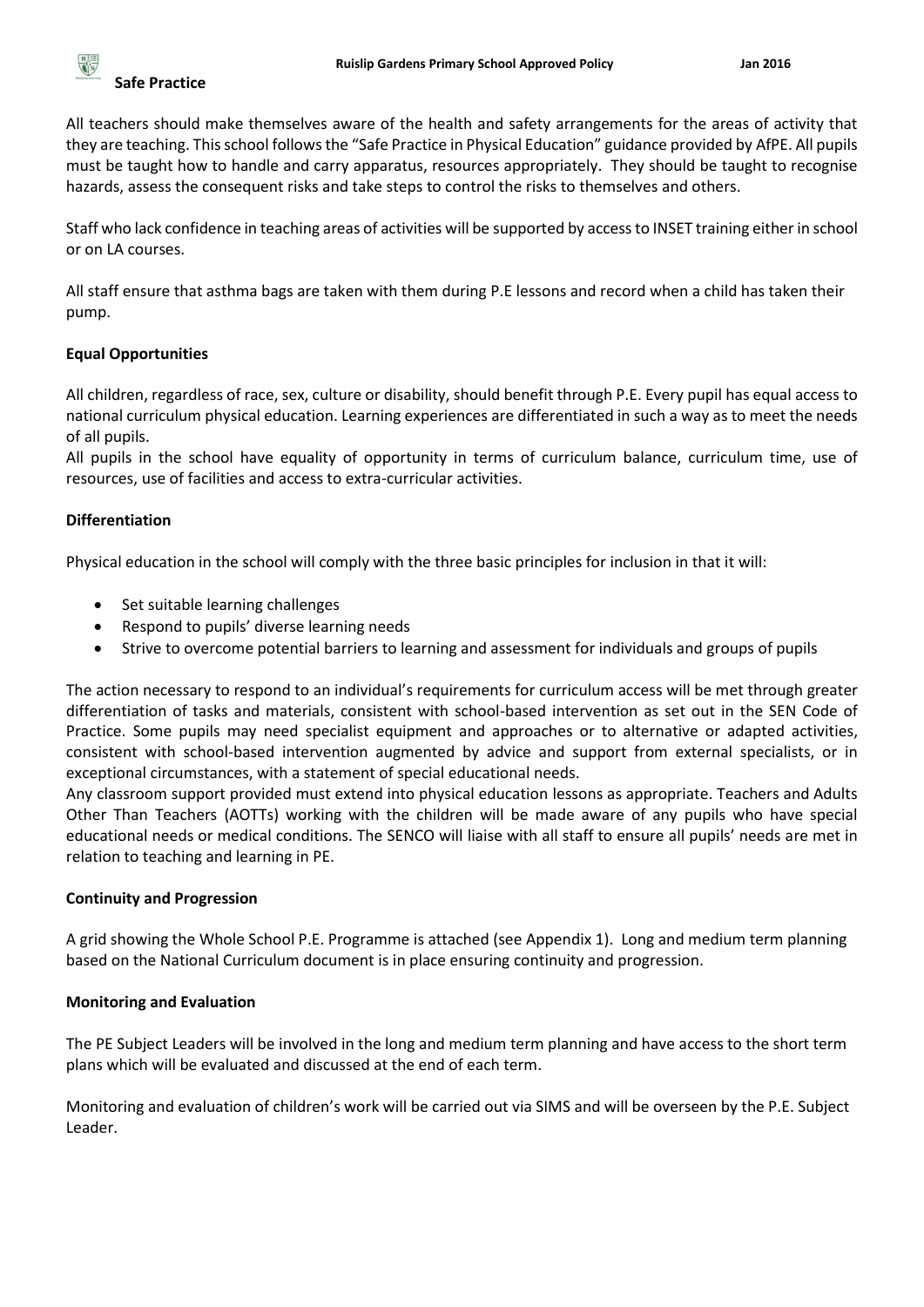All teachers should make themselves aware of the health and safety arrangements for the areas of activity that they are teaching. This school follows the "Safe Practice in Physical Education" guidance provided by AfPE. All pupils must be taught how to handle and carry apparatus, resources appropriately. They should be taught to recognise hazards, assess the consequent risks and take steps to control the risks to themselves and others.

Staff who lack confidence in teaching areas of activities will be supported by access to INSET training either in school or on LA courses.

All staff ensure that asthma bags are taken with them during P.E lessons and record when a child has taken their pump.

# **Equal Opportunities**

All children, regardless of race, sex, culture or disability, should benefit through P.E. Every pupil has equal access to national curriculum physical education. Learning experiences are differentiated in such a way as to meet the needs of all pupils.

All pupils in the school have equality of opportunity in terms of curriculum balance, curriculum time, use of resources, use of facilities and access to extra-curricular activities.

# **Differentiation**

Physical education in the school will comply with the three basic principles for inclusion in that it will:

- Set suitable learning challenges
- Respond to pupils' diverse learning needs
- Strive to overcome potential barriers to learning and assessment for individuals and groups of pupils

The action necessary to respond to an individual's requirements for curriculum access will be met through greater differentiation of tasks and materials, consistent with school-based intervention as set out in the SEN Code of Practice. Some pupils may need specialist equipment and approaches or to alternative or adapted activities, consistent with school-based intervention augmented by advice and support from external specialists, or in exceptional circumstances, with a statement of special educational needs.

Any classroom support provided must extend into physical education lessons as appropriate. Teachers and Adults Other Than Teachers (AOTTs) working with the children will be made aware of any pupils who have special educational needs or medical conditions. The SENCO will liaise with all staff to ensure all pupils' needs are met in relation to teaching and learning in PE.

# **Continuity and Progression**

A grid showing the Whole School P.E. Programme is attached (see Appendix 1). Long and medium term planning based on the National Curriculum document is in place ensuring continuity and progression.

# **Monitoring and Evaluation**

The PE Subject Leaders will be involved in the long and medium term planning and have access to the short term plans which will be evaluated and discussed at the end of each term.

Monitoring and evaluation of children's work will be carried out via SIMS and will be overseen by the P.E. Subject Leader.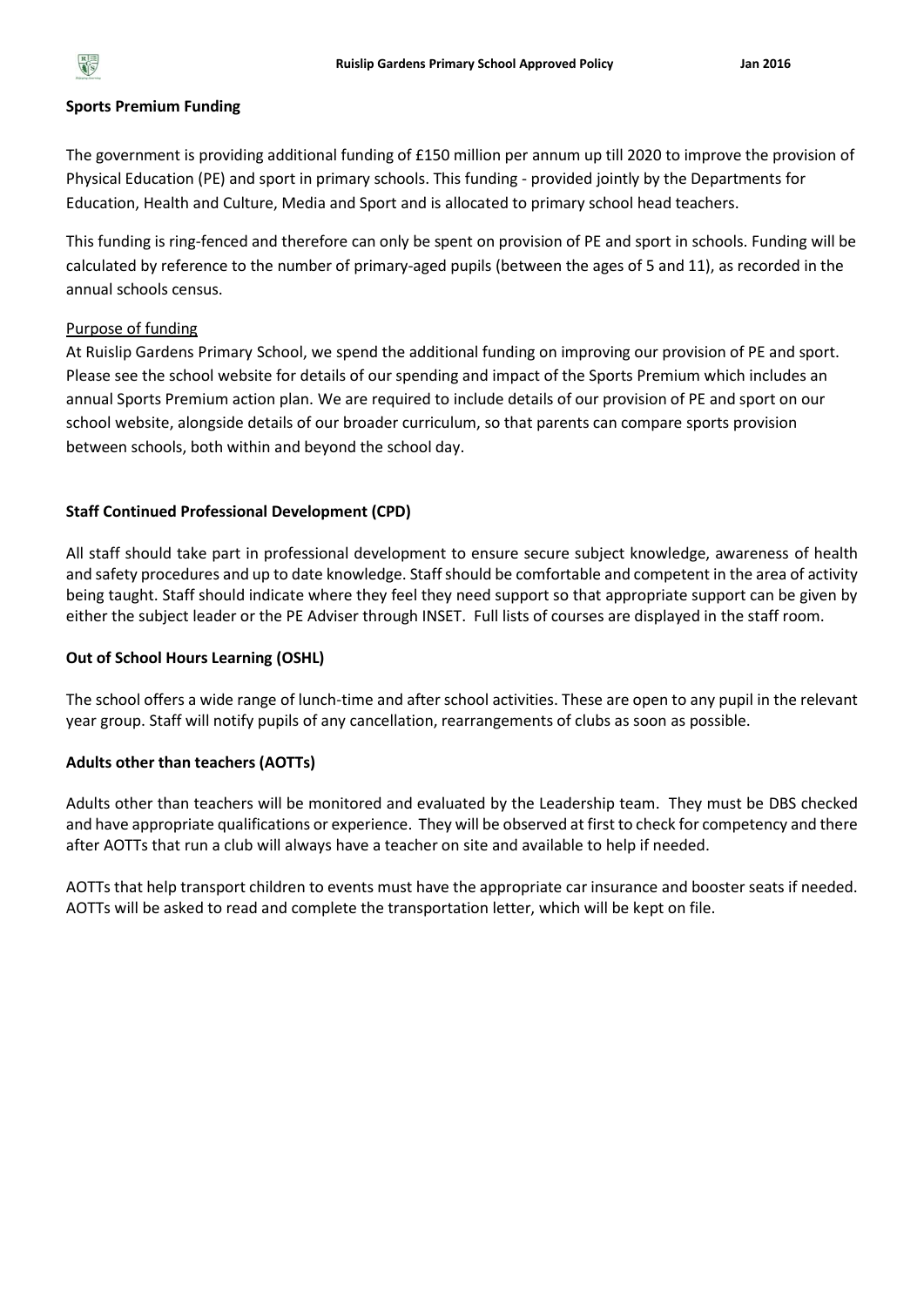

#### **Sports Premium Funding**

The government is providing additional funding of £150 million per annum up till 2020 to improve the provision of Physical Education (PE) and sport in primary schools. This funding - provided jointly by the Departments for Education, Health and Culture, Media and Sport and is allocated to primary school head teachers.

This funding is ring-fenced and therefore can only be spent on provision of PE and sport in schools. Funding will be calculated by reference to the number of primary-aged pupils (between the ages of 5 and 11), as recorded in the annual schools census.

# Purpose of funding

At Ruislip Gardens Primary School, we spend the additional funding on improving our provision of PE and sport. Please see the school website for details of our spending and impact of the Sports Premium which includes an annual Sports Premium action plan. We are required to include details of our provision of PE and sport on our school website, alongside details of our broader curriculum, so that parents can compare sports provision between schools, both within and beyond the school day.

#### **Staff Continued Professional Development (CPD)**

All staff should take part in professional development to ensure secure subject knowledge, awareness of health and safety procedures and up to date knowledge. Staff should be comfortable and competent in the area of activity being taught. Staff should indicate where they feel they need support so that appropriate support can be given by either the subject leader or the PE Adviser through INSET. Full lists of courses are displayed in the staff room.

#### **Out of School Hours Learning (OSHL)**

The school offers a wide range of lunch-time and after school activities. These are open to any pupil in the relevant year group. Staff will notify pupils of any cancellation, rearrangements of clubs as soon as possible.

#### **Adults other than teachers (AOTTs)**

Adults other than teachers will be monitored and evaluated by the Leadership team. They must be DBS checked and have appropriate qualifications or experience. They will be observed at first to check for competency and there after AOTTs that run a club will always have a teacher on site and available to help if needed.

AOTTs that help transport children to events must have the appropriate car insurance and booster seats if needed. AOTTs will be asked to read and complete the transportation letter, which will be kept on file.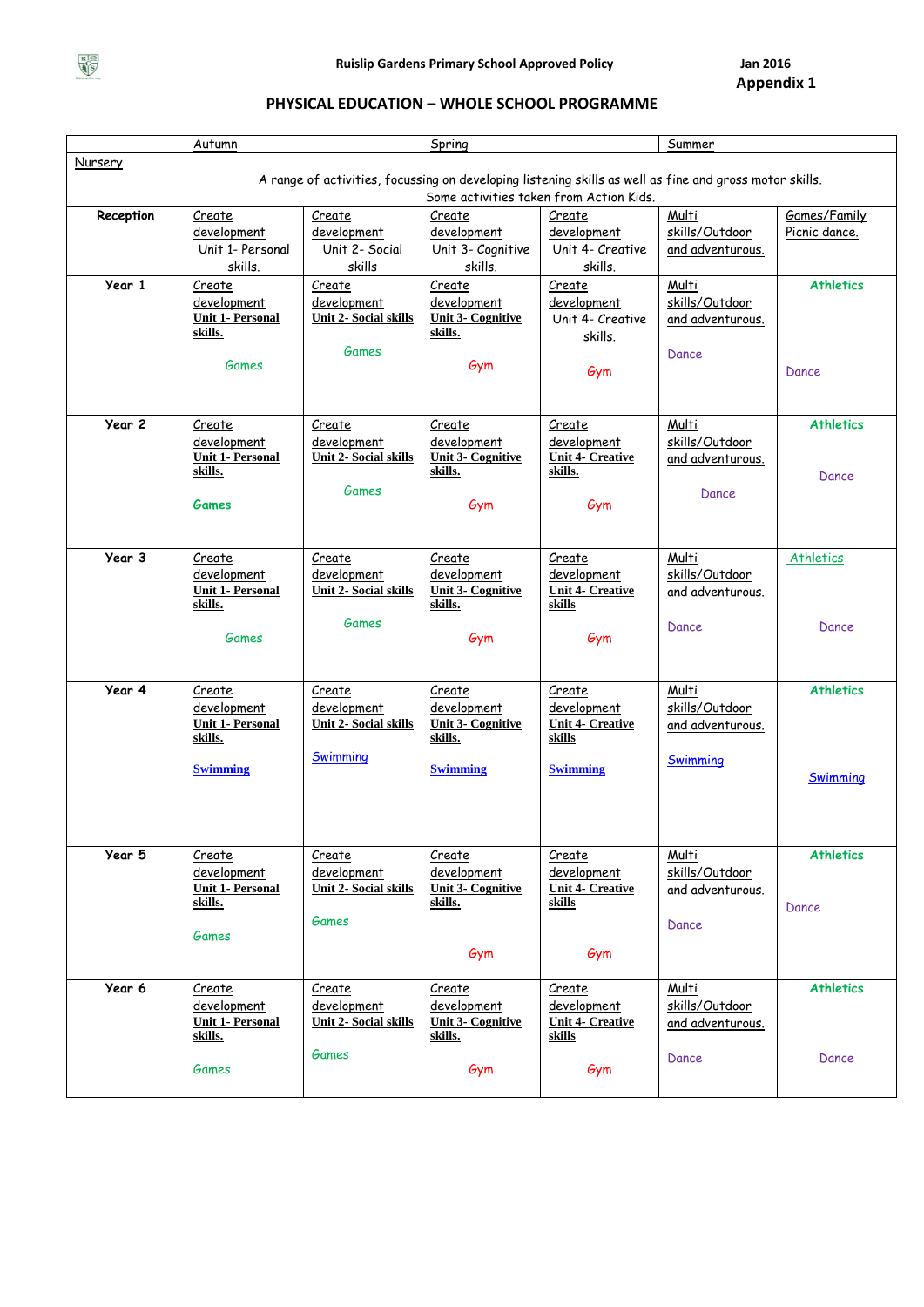

**Appendix 1**

# **PHYSICAL EDUCATION – WHOLE SCHOOL PROGRAMME**

|           | <b>Autumn</b>                      |                              | Spring                                                                                                  |                                         | Summer           |                  |
|-----------|------------------------------------|------------------------------|---------------------------------------------------------------------------------------------------------|-----------------------------------------|------------------|------------------|
| Nursery   |                                    |                              | A range of activities, focussing on developing listening skills as well as fine and gross motor skills. |                                         |                  |                  |
|           |                                    |                              |                                                                                                         | Some activities taken from Action Kids. |                  |                  |
| Reception | <b>Create</b>                      | Create                       | Create                                                                                                  | Create                                  | Multi            | Games/Family     |
|           | development                        | development                  | development                                                                                             | development                             | skills/Outdoor   | Picnic dance.    |
|           | Unit 1- Personal                   | Unit 2- Social               | Unit 3- Cognitive                                                                                       | Unit 4- Creative                        | and adventurous. |                  |
|           | skills.                            | skills                       | skills.                                                                                                 | skills.                                 |                  |                  |
| Year 1    | Create                             | Create                       | Create                                                                                                  | Create                                  | Multi            | <b>Athletics</b> |
|           | development                        | development                  | development                                                                                             | development                             | skills/Outdoor   |                  |
|           | <b>Unit 1- Personal</b>            | <b>Unit 2- Social skills</b> | <b>Unit 3- Cognitive</b>                                                                                | Unit 4- Creative                        | and adventurous. |                  |
|           | skills.                            |                              | skills.                                                                                                 | skills.                                 |                  |                  |
|           | Games                              | Games                        |                                                                                                         |                                         | Dance            |                  |
|           |                                    |                              | Gym                                                                                                     | Gym                                     |                  | Dance            |
|           |                                    |                              |                                                                                                         |                                         |                  |                  |
|           |                                    |                              |                                                                                                         |                                         |                  |                  |
| Year 2    | Create                             | Create                       | Create                                                                                                  | Create                                  | Multi            | <b>Athletics</b> |
|           | development                        | development                  | development                                                                                             | development                             | skills/Outdoor   |                  |
|           | <b>Unit 1- Personal</b><br>skills. | <b>Unit 2- Social skills</b> | <b>Unit 3- Cognitive</b><br>skills.                                                                     | <b>Unit 4- Creative</b><br>skills.      | and adventurous. |                  |
|           |                                    | Games                        |                                                                                                         |                                         |                  | Dance            |
|           | <b>Games</b>                       |                              | Gym                                                                                                     | Gym                                     | Dance            |                  |
|           |                                    |                              |                                                                                                         |                                         |                  |                  |
|           |                                    |                              |                                                                                                         |                                         |                  |                  |
| Year 3    | Create                             | Create                       | Create                                                                                                  | Create                                  | Multi            | Athletics        |
|           | development                        | development                  | development                                                                                             | development                             | skills/Outdoor   |                  |
|           | <b>Unit 1- Personal</b>            | <b>Unit 2- Social skills</b> | <b>Unit 3- Cognitive</b>                                                                                | <b>Unit 4- Creative</b>                 | and adventurous. |                  |
|           | skills.                            |                              | skills.                                                                                                 | skills                                  |                  |                  |
|           |                                    | Games                        |                                                                                                         |                                         | Dance            | Dance            |
|           | <b>Games</b>                       |                              | Gym                                                                                                     | Gym                                     |                  |                  |
|           |                                    |                              |                                                                                                         |                                         |                  |                  |
| Year 4    | Create                             | Create                       | Create                                                                                                  | Create                                  | Multi            | <b>Athletics</b> |
|           | development                        | development                  | development                                                                                             | development                             | skills/Outdoor   |                  |
|           | <b>Unit 1- Personal</b>            | <b>Unit 2- Social skills</b> | <b>Unit 3- Cognitive</b>                                                                                | <b>Unit 4- Creative</b>                 | and adventurous. |                  |
|           | skills.                            |                              | skills.                                                                                                 | skills                                  |                  |                  |
|           |                                    | Swimming                     |                                                                                                         |                                         | Swimming         |                  |
|           | <b>Swimming</b>                    |                              | <b>Swimming</b>                                                                                         | <b>Swimming</b>                         |                  | Swimming         |
|           |                                    |                              |                                                                                                         |                                         |                  |                  |
|           |                                    |                              |                                                                                                         |                                         |                  |                  |
|           |                                    |                              |                                                                                                         |                                         |                  |                  |
| Year 5    | Create                             | Create                       | Create                                                                                                  | Create                                  | Multi            | <b>Athletics</b> |
|           | development                        | development                  | development                                                                                             | development                             | skills/Outdoor   |                  |
|           | <b>Unit 1- Personal</b>            | <b>Unit 2- Social skills</b> | <b>Unit 3- Cognitive</b>                                                                                | <b>Unit 4- Creative</b>                 | and adventurous. |                  |
|           | skills.                            |                              | skills.                                                                                                 | skills                                  |                  | Dance            |
|           |                                    | Games                        |                                                                                                         |                                         | Dance            |                  |
|           | Games                              |                              |                                                                                                         |                                         |                  |                  |
|           |                                    |                              | Gym                                                                                                     | Gym                                     |                  |                  |
| Year 6    | Create                             | Create                       | Create                                                                                                  | Create                                  | Multi            | <b>Athletics</b> |
|           | development                        | development                  | development                                                                                             | development                             | skills/Outdoor   |                  |
|           | <b>Unit 1- Personal</b>            | <b>Unit 2- Social skills</b> | <b>Unit 3- Cognitive</b>                                                                                | <b>Unit 4- Creative</b>                 | and adventurous. |                  |
|           | skills.                            |                              | skills.                                                                                                 | skills                                  |                  |                  |
|           |                                    | Games                        |                                                                                                         |                                         | Dance            | Dance            |
|           | Games                              |                              | Gym                                                                                                     | Gym                                     |                  |                  |
|           |                                    |                              |                                                                                                         |                                         |                  |                  |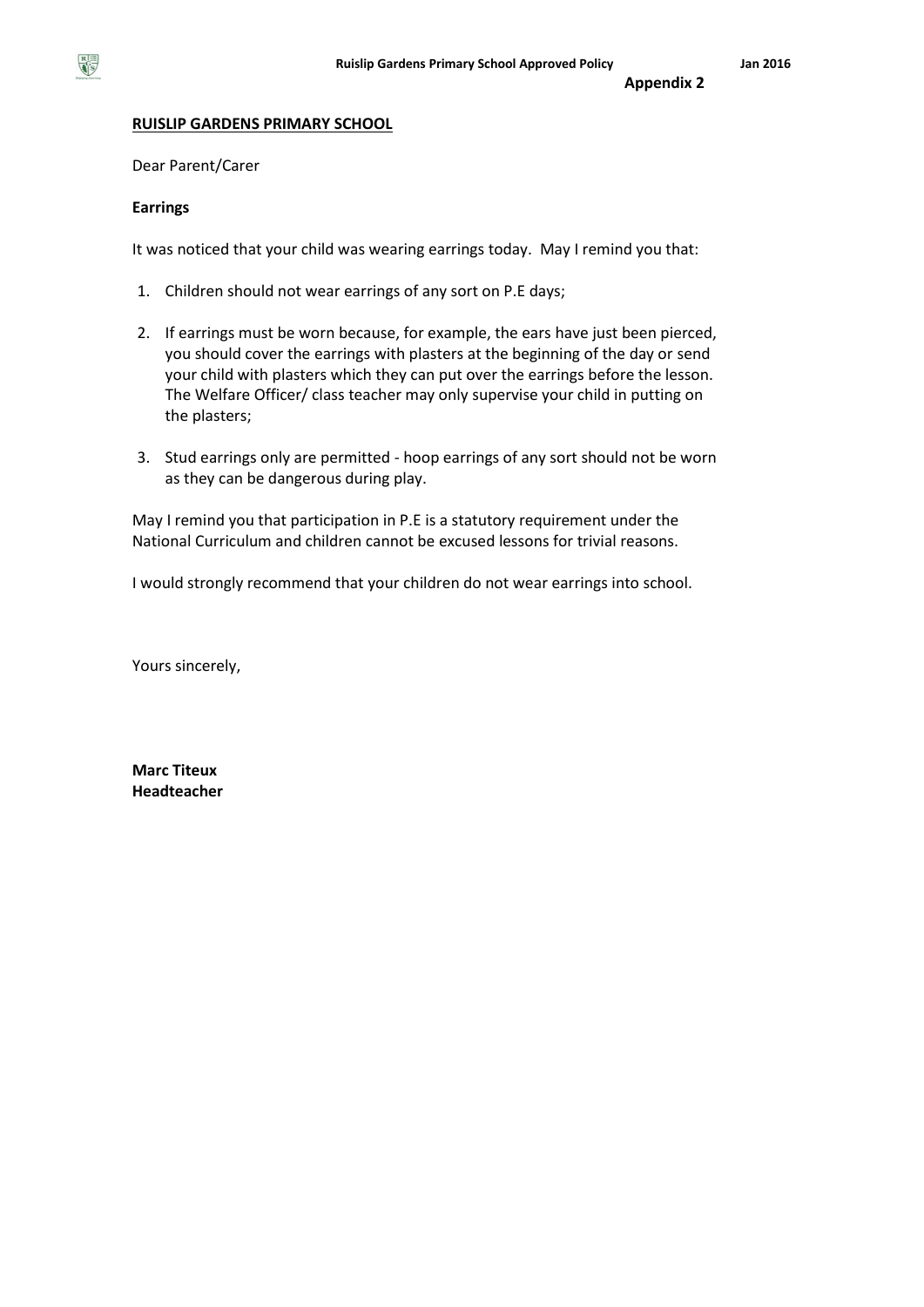

# **Appendix 2**

#### **RUISLIP GARDENS PRIMARY SCHOOL**

Dear Parent/Carer

#### **Earrings**

It was noticed that your child was wearing earrings today. May I remind you that:

- 1. Children should not wear earrings of any sort on P.E days;
- 2. If earrings must be worn because, for example, the ears have just been pierced, you should cover the earrings with plasters at the beginning of the day or send your child with plasters which they can put over the earrings before the lesson. The Welfare Officer/ class teacher may only supervise your child in putting on the plasters;
- 3. Stud earrings only are permitted hoop earrings of any sort should not be worn as they can be dangerous during play.

May I remind you that participation in P.E is a statutory requirement under the National Curriculum and children cannot be excused lessons for trivial reasons.

I would strongly recommend that your children do not wear earrings into school.

Yours sincerely,

**Marc Titeux Headteacher**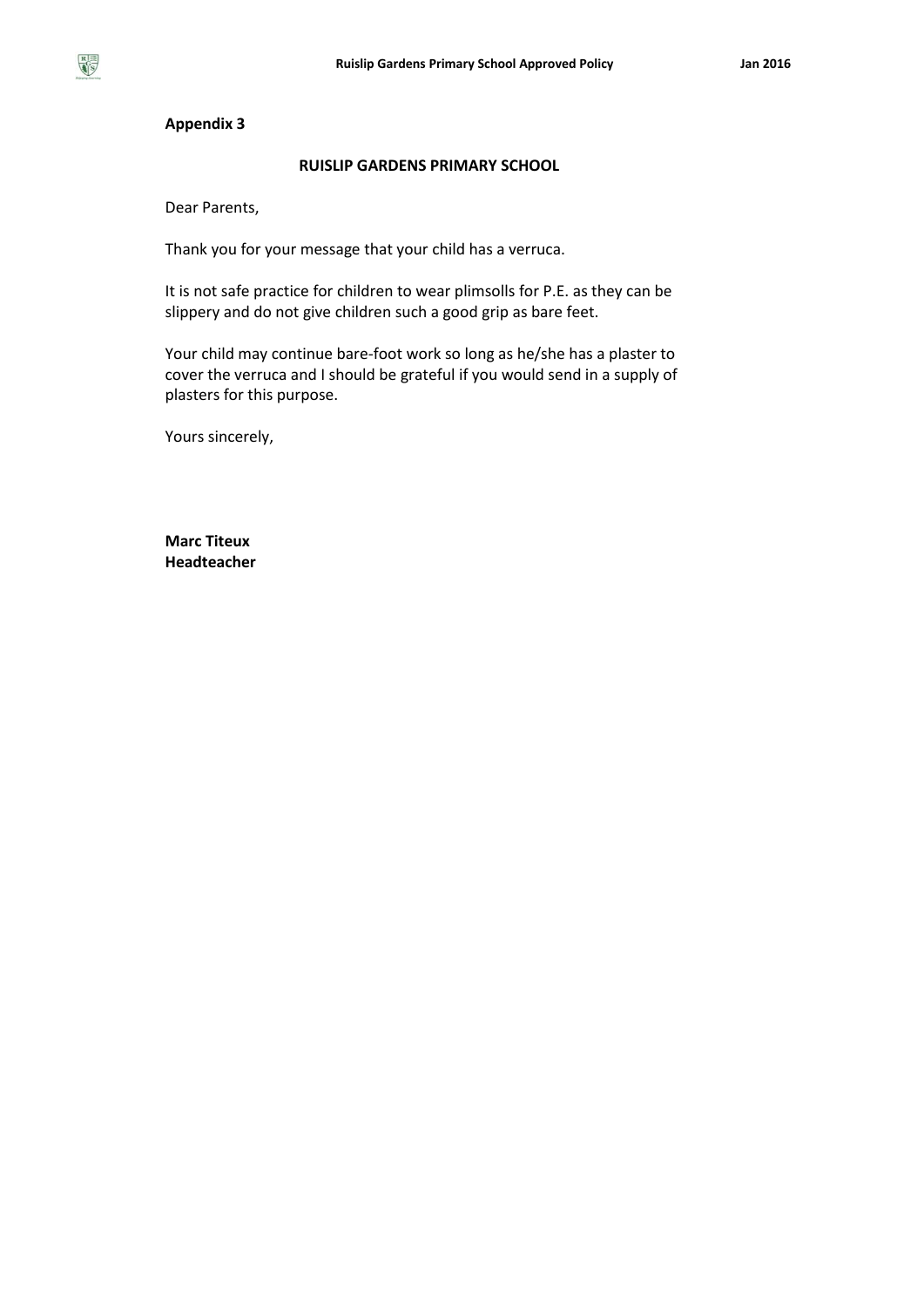

#### **Appendix 3**

### **RUISLIP GARDENS PRIMARY SCHOOL**

Dear Parents,

Thank you for your message that your child has a verruca.

It is not safe practice for children to wear plimsolls for P.E. as they can be slippery and do not give children such a good grip as bare feet.

Your child may continue bare-foot work so long as he/she has a plaster to cover the verruca and I should be grateful if you would send in a supply of plasters for this purpose.

Yours sincerely,

**Marc Titeux Headteacher**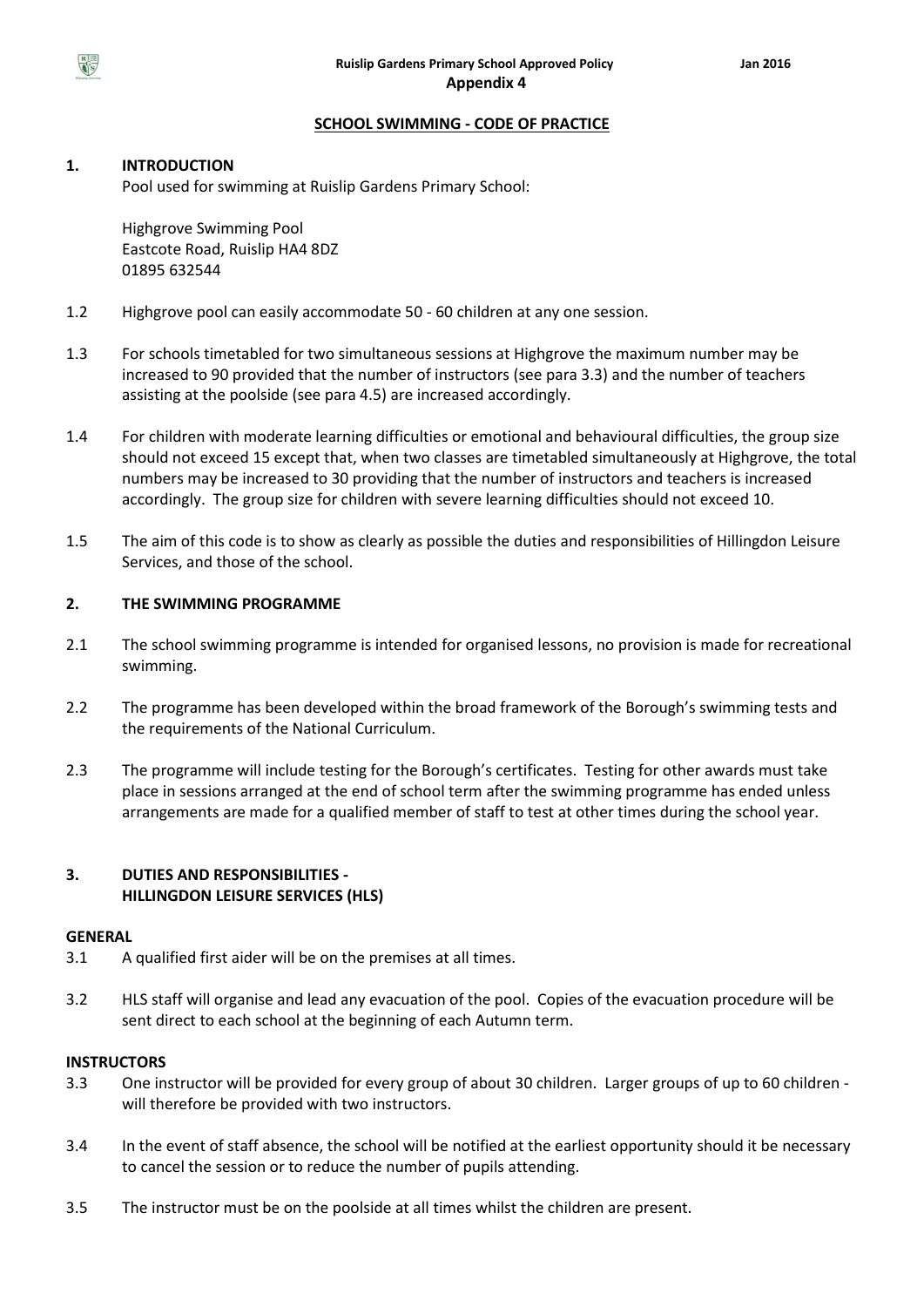

# **SCHOOL SWIMMING - CODE OF PRACTICE**

# **1. INTRODUCTION**

Pool used for swimming at Ruislip Gardens Primary School:

Highgrove Swimming Pool Eastcote Road, Ruislip HA4 8DZ 01895 632544

- 1.2 Highgrove pool can easily accommodate 50 60 children at any one session.
- 1.3 For schools timetabled for two simultaneous sessions at Highgrove the maximum number may be increased to 90 provided that the number of instructors (see para 3.3) and the number of teachers assisting at the poolside (see para 4.5) are increased accordingly.
- 1.4 For children with moderate learning difficulties or emotional and behavioural difficulties, the group size should not exceed 15 except that, when two classes are timetabled simultaneously at Highgrove, the total numbers may be increased to 30 providing that the number of instructors and teachers is increased accordingly. The group size for children with severe learning difficulties should not exceed 10.
- 1.5 The aim of this code is to show as clearly as possible the duties and responsibilities of Hillingdon Leisure Services, and those of the school.

# **2. THE SWIMMING PROGRAMME**

- 2.1 The school swimming programme is intended for organised lessons, no provision is made for recreational swimming.
- 2.2 The programme has been developed within the broad framework of the Borough's swimming tests and the requirements of the National Curriculum.
- 2.3 The programme will include testing for the Borough's certificates. Testing for other awards must take place in sessions arranged at the end of school term after the swimming programme has ended unless arrangements are made for a qualified member of staff to test at other times during the school year.

# **3. DUTIES AND RESPONSIBILITIES - HILLINGDON LEISURE SERVICES (HLS)**

#### **GENERAL**

- 3.1 A qualified first aider will be on the premises at all times.
- 3.2 HLS staff will organise and lead any evacuation of the pool. Copies of the evacuation procedure will be sent direct to each school at the beginning of each Autumn term.

#### **INSTRUCTORS**

- 3.3 One instructor will be provided for every group of about 30 children. Larger groups of up to 60 children will therefore be provided with two instructors.
- 3.4 In the event of staff absence, the school will be notified at the earliest opportunity should it be necessary to cancel the session or to reduce the number of pupils attending.
- 3.5 The instructor must be on the poolside at all times whilst the children are present.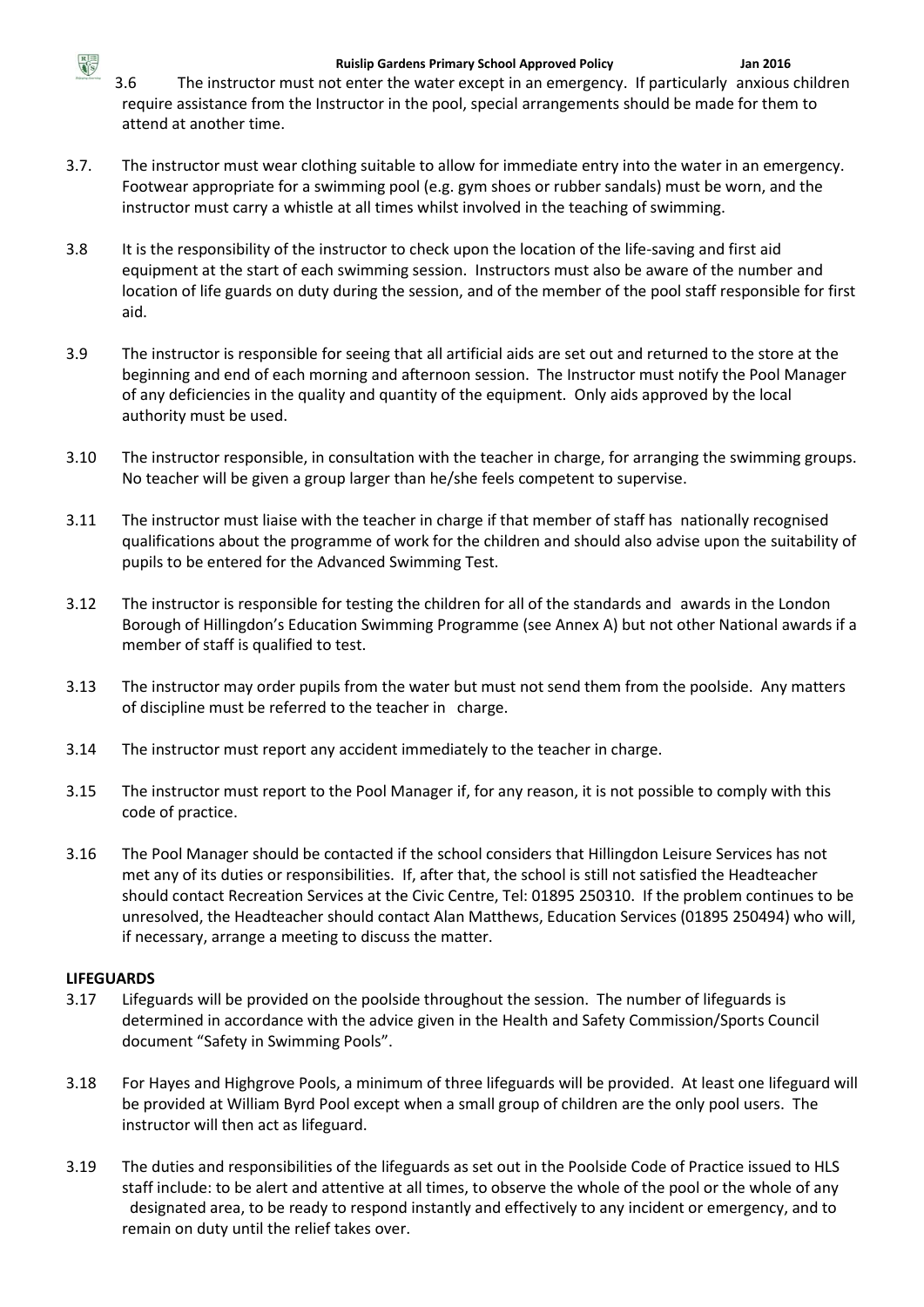

3.6 The instructor must not enter the water except in an emergency. If particularly anxious children require assistance from the Instructor in the pool, special arrangements should be made for them to attend at another time.

- 3.7. The instructor must wear clothing suitable to allow for immediate entry into the water in an emergency. Footwear appropriate for a swimming pool (e.g. gym shoes or rubber sandals) must be worn, and the instructor must carry a whistle at all times whilst involved in the teaching of swimming.
- 3.8 It is the responsibility of the instructor to check upon the location of the life-saving and first aid equipment at the start of each swimming session. Instructors must also be aware of the number and location of life guards on duty during the session, and of the member of the pool staff responsible for first aid.
- 3.9 The instructor is responsible for seeing that all artificial aids are set out and returned to the store at the beginning and end of each morning and afternoon session. The Instructor must notify the Pool Manager of any deficiencies in the quality and quantity of the equipment. Only aids approved by the local authority must be used.
- 3.10 The instructor responsible, in consultation with the teacher in charge, for arranging the swimming groups. No teacher will be given a group larger than he/she feels competent to supervise.
- 3.11 The instructor must liaise with the teacher in charge if that member of staff has nationally recognised qualifications about the programme of work for the children and should also advise upon the suitability of pupils to be entered for the Advanced Swimming Test.
- 3.12 The instructor is responsible for testing the children for all of the standards and awards in the London Borough of Hillingdon's Education Swimming Programme (see Annex A) but not other National awards if a member of staff is qualified to test.
- 3.13 The instructor may order pupils from the water but must not send them from the poolside. Any matters of discipline must be referred to the teacher in charge.
- 3.14 The instructor must report any accident immediately to the teacher in charge.
- 3.15 The instructor must report to the Pool Manager if, for any reason, it is not possible to comply with this code of practice.
- 3.16 The Pool Manager should be contacted if the school considers that Hillingdon Leisure Services has not met any of its duties or responsibilities. If, after that, the school is still not satisfied the Headteacher should contact Recreation Services at the Civic Centre, Tel: 01895 250310. If the problem continues to be unresolved, the Headteacher should contact Alan Matthews, Education Services (01895 250494) who will, if necessary, arrange a meeting to discuss the matter.

# **LIFEGUARDS**

- 3.17 Lifeguards will be provided on the poolside throughout the session. The number of lifeguards is determined in accordance with the advice given in the Health and Safety Commission/Sports Council document "Safety in Swimming Pools".
- 3.18 For Hayes and Highgrove Pools, a minimum of three lifeguards will be provided. At least one lifeguard will be provided at William Byrd Pool except when a small group of children are the only pool users. The instructor will then act as lifeguard.
- 3.19 The duties and responsibilities of the lifeguards as set out in the Poolside Code of Practice issued to HLS staff include: to be alert and attentive at all times, to observe the whole of the pool or the whole of any designated area, to be ready to respond instantly and effectively to any incident or emergency, and to remain on duty until the relief takes over.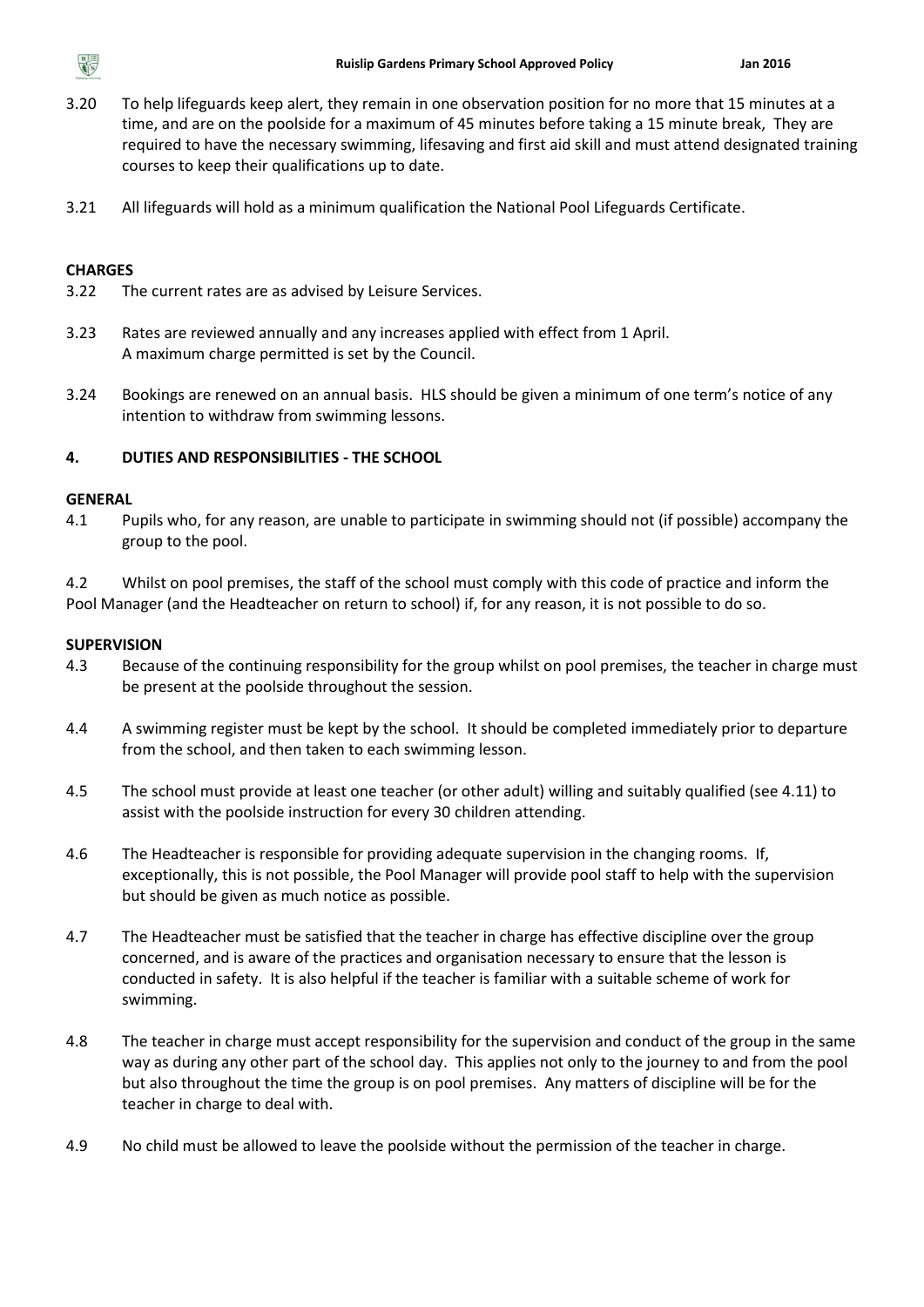

- 3.20 To help lifeguards keep alert, they remain in one observation position for no more that 15 minutes at a time, and are on the poolside for a maximum of 45 minutes before taking a 15 minute break, They are required to have the necessary swimming, lifesaving and first aid skill and must attend designated training courses to keep their qualifications up to date.
- 3.21 All lifeguards will hold as a minimum qualification the National Pool Lifeguards Certificate.

#### **CHARGES**

- 3.22 The current rates are as advised by Leisure Services.
- 3.23 Rates are reviewed annually and any increases applied with effect from 1 April. A maximum charge permitted is set by the Council.
- 3.24 Bookings are renewed on an annual basis. HLS should be given a minimum of one term's notice of any intention to withdraw from swimming lessons.

#### **4. DUTIES AND RESPONSIBILITIES - THE SCHOOL**

#### **GENERAL**

4.1 Pupils who, for any reason, are unable to participate in swimming should not (if possible) accompany the group to the pool.

4.2 Whilst on pool premises, the staff of the school must comply with this code of practice and inform the Pool Manager (and the Headteacher on return to school) if, for any reason, it is not possible to do so.

#### **SUPERVISION**

- 4.3 Because of the continuing responsibility for the group whilst on pool premises, the teacher in charge must be present at the poolside throughout the session.
- 4.4 A swimming register must be kept by the school. It should be completed immediately prior to departure from the school, and then taken to each swimming lesson.
- 4.5 The school must provide at least one teacher (or other adult) willing and suitably qualified (see 4.11) to assist with the poolside instruction for every 30 children attending.
- 4.6 The Headteacher is responsible for providing adequate supervision in the changing rooms. If, exceptionally, this is not possible, the Pool Manager will provide pool staff to help with the supervision but should be given as much notice as possible.
- 4.7 The Headteacher must be satisfied that the teacher in charge has effective discipline over the group concerned, and is aware of the practices and organisation necessary to ensure that the lesson is conducted in safety. It is also helpful if the teacher is familiar with a suitable scheme of work for swimming.
- 4.8 The teacher in charge must accept responsibility for the supervision and conduct of the group in the same way as during any other part of the school day. This applies not only to the journey to and from the pool but also throughout the time the group is on pool premises. Any matters of discipline will be for the teacher in charge to deal with.
- 4.9 No child must be allowed to leave the poolside without the permission of the teacher in charge.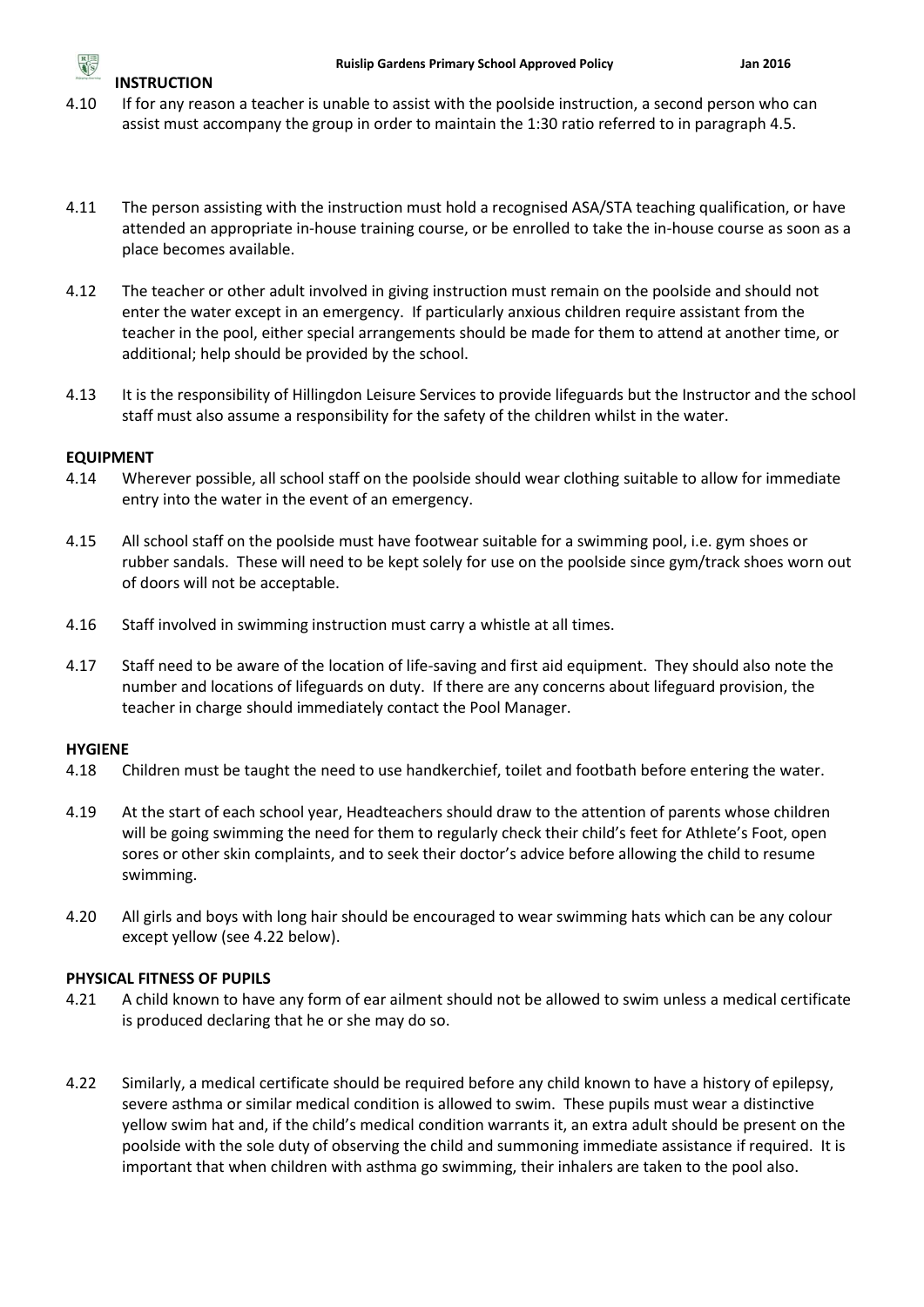

# **INSTRUCTION**

- 4.10 If for any reason a teacher is unable to assist with the poolside instruction, a second person who can assist must accompany the group in order to maintain the 1:30 ratio referred to in paragraph 4.5.
- 4.11 The person assisting with the instruction must hold a recognised ASA/STA teaching qualification, or have attended an appropriate in-house training course, or be enrolled to take the in-house course as soon as a place becomes available.
- 4.12 The teacher or other adult involved in giving instruction must remain on the poolside and should not enter the water except in an emergency. If particularly anxious children require assistant from the teacher in the pool, either special arrangements should be made for them to attend at another time, or additional; help should be provided by the school.
- 4.13 It is the responsibility of Hillingdon Leisure Services to provide lifeguards but the Instructor and the school staff must also assume a responsibility for the safety of the children whilst in the water.

# **EQUIPMENT**

- 4.14 Wherever possible, all school staff on the poolside should wear clothing suitable to allow for immediate entry into the water in the event of an emergency.
- 4.15 All school staff on the poolside must have footwear suitable for a swimming pool, i.e. gym shoes or rubber sandals. These will need to be kept solely for use on the poolside since gym/track shoes worn out of doors will not be acceptable.
- 4.16 Staff involved in swimming instruction must carry a whistle at all times.
- 4.17 Staff need to be aware of the location of life-saving and first aid equipment. They should also note the number and locations of lifeguards on duty. If there are any concerns about lifeguard provision, the teacher in charge should immediately contact the Pool Manager.

# **HYGIENE**

- 4.18 Children must be taught the need to use handkerchief, toilet and footbath before entering the water.
- 4.19 At the start of each school year, Headteachers should draw to the attention of parents whose children will be going swimming the need for them to regularly check their child's feet for Athlete's Foot, open sores or other skin complaints, and to seek their doctor's advice before allowing the child to resume swimming.
- 4.20 All girls and boys with long hair should be encouraged to wear swimming hats which can be any colour except yellow (see 4.22 below).

# **PHYSICAL FITNESS OF PUPILS**

- 4.21 A child known to have any form of ear ailment should not be allowed to swim unless a medical certificate is produced declaring that he or she may do so.
- 4.22 Similarly, a medical certificate should be required before any child known to have a history of epilepsy, severe asthma or similar medical condition is allowed to swim. These pupils must wear a distinctive yellow swim hat and, if the child's medical condition warrants it, an extra adult should be present on the poolside with the sole duty of observing the child and summoning immediate assistance if required. It is important that when children with asthma go swimming, their inhalers are taken to the pool also.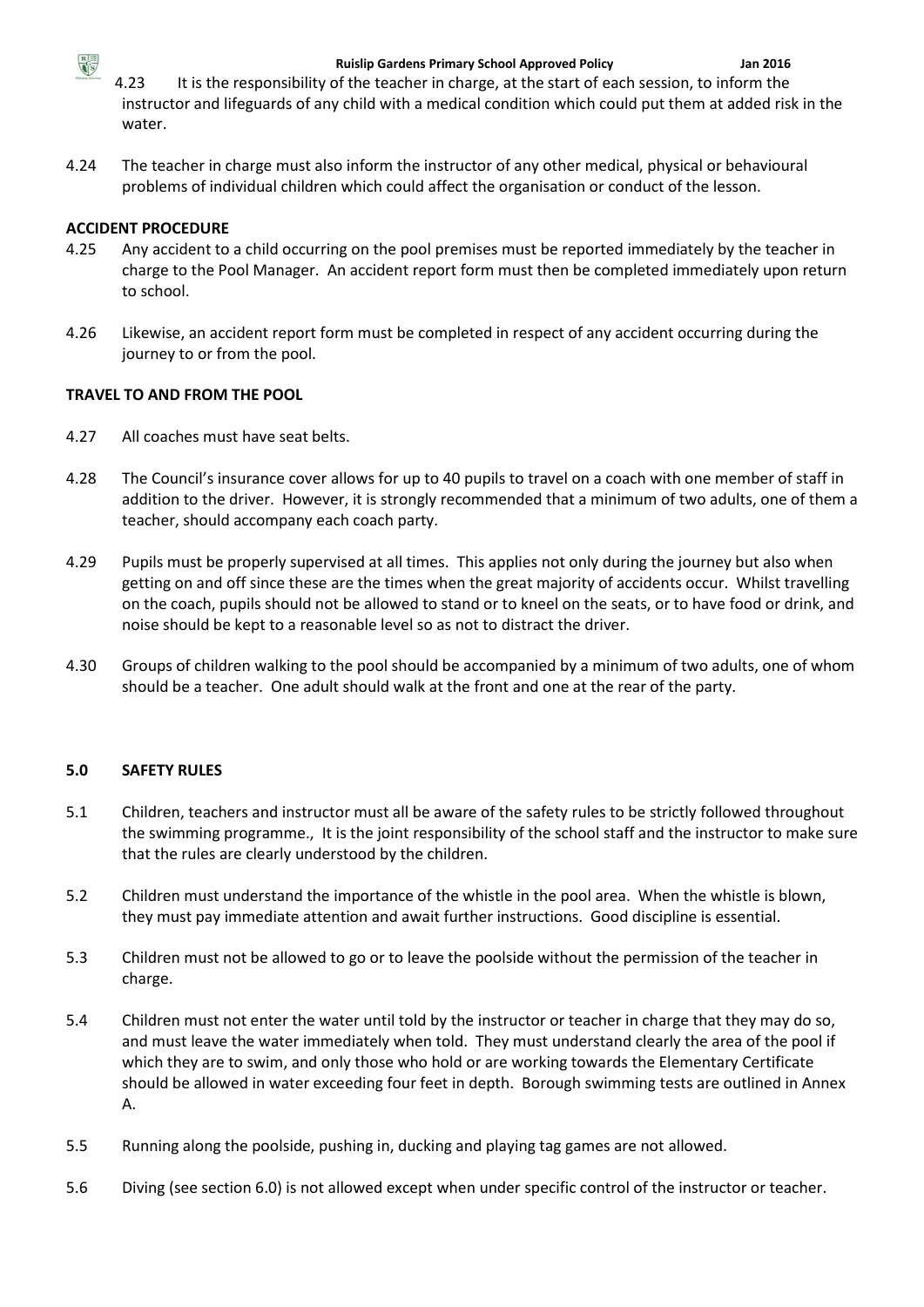

4.23 It is the responsibility of the teacher in charge, at the start of each session, to inform the instructor and lifeguards of any child with a medical condition which could put them at added risk in the water.

4.24 The teacher in charge must also inform the instructor of any other medical, physical or behavioural problems of individual children which could affect the organisation or conduct of the lesson.

# **ACCIDENT PROCEDURE**

- 4.25 Any accident to a child occurring on the pool premises must be reported immediately by the teacher in charge to the Pool Manager. An accident report form must then be completed immediately upon return to school.
- 4.26 Likewise, an accident report form must be completed in respect of any accident occurring during the journey to or from the pool.

# **TRAVEL TO AND FROM THE POOL**

- 4.27 All coaches must have seat belts.
- 4.28 The Council's insurance cover allows for up to 40 pupils to travel on a coach with one member of staff in addition to the driver. However, it is strongly recommended that a minimum of two adults, one of them a teacher, should accompany each coach party.
- 4.29 Pupils must be properly supervised at all times. This applies not only during the journey but also when getting on and off since these are the times when the great majority of accidents occur. Whilst travelling on the coach, pupils should not be allowed to stand or to kneel on the seats, or to have food or drink, and noise should be kept to a reasonable level so as not to distract the driver.
- 4.30 Groups of children walking to the pool should be accompanied by a minimum of two adults, one of whom should be a teacher. One adult should walk at the front and one at the rear of the party.

# **5.0 SAFETY RULES**

- 5.1 Children, teachers and instructor must all be aware of the safety rules to be strictly followed throughout the swimming programme., It is the joint responsibility of the school staff and the instructor to make sure that the rules are clearly understood by the children.
- 5.2 Children must understand the importance of the whistle in the pool area. When the whistle is blown, they must pay immediate attention and await further instructions. Good discipline is essential.
- 5.3 Children must not be allowed to go or to leave the poolside without the permission of the teacher in charge.
- 5.4 Children must not enter the water until told by the instructor or teacher in charge that they may do so, and must leave the water immediately when told. They must understand clearly the area of the pool if which they are to swim, and only those who hold or are working towards the Elementary Certificate should be allowed in water exceeding four feet in depth. Borough swimming tests are outlined in Annex A.
- 5.5 Running along the poolside, pushing in, ducking and playing tag games are not allowed.
- 5.6 Diving (see section 6.0) is not allowed except when under specific control of the instructor or teacher.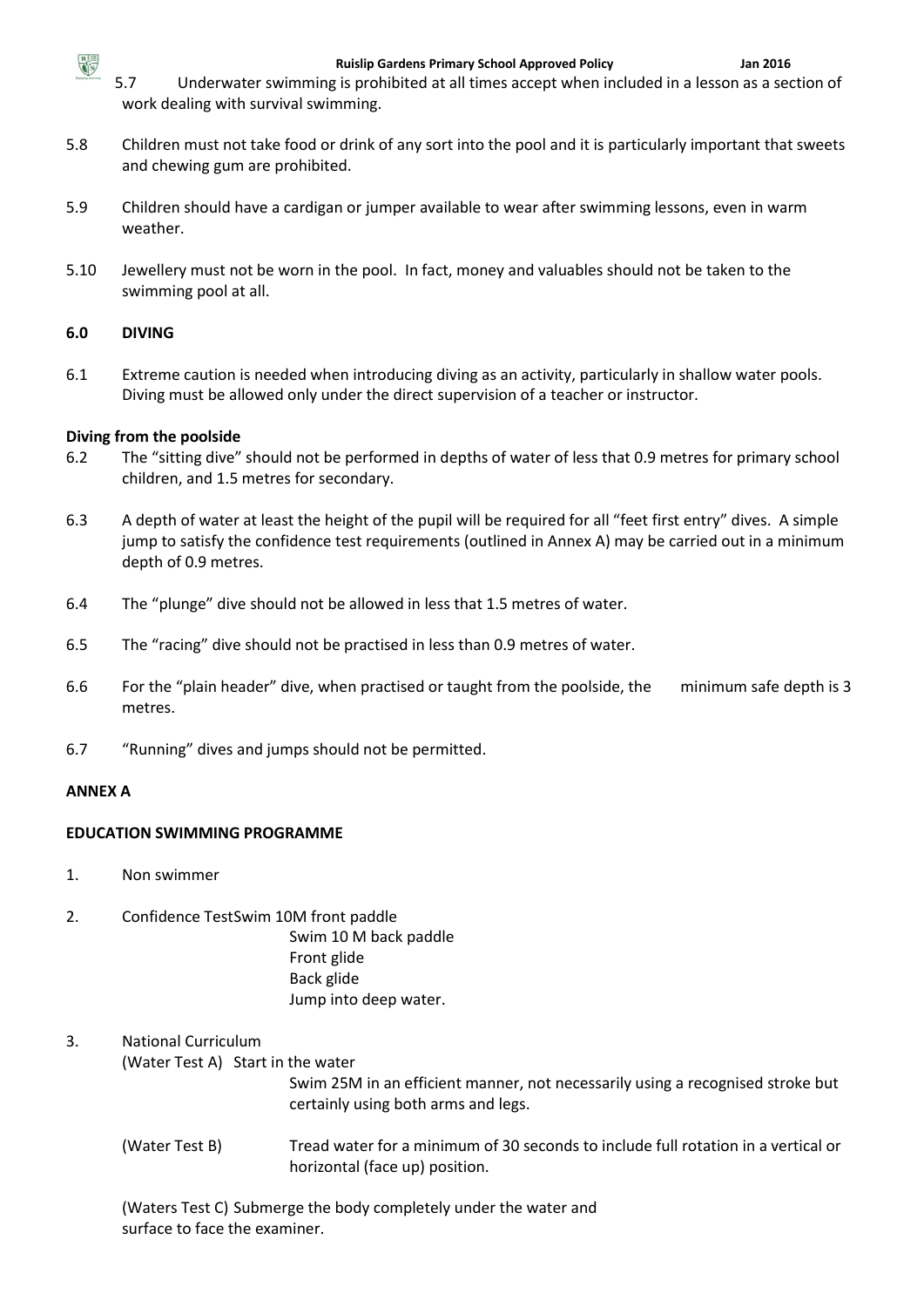

5.7 Underwater swimming is prohibited at all times accept when included in a lesson as a section of work dealing with survival swimming.

- 5.8 Children must not take food or drink of any sort into the pool and it is particularly important that sweets and chewing gum are prohibited.
- 5.9 Children should have a cardigan or jumper available to wear after swimming lessons, even in warm weather.
- 5.10 Jewellery must not be worn in the pool. In fact, money and valuables should not be taken to the swimming pool at all.

## **6.0 DIVING**

6.1 Extreme caution is needed when introducing diving as an activity, particularly in shallow water pools. Diving must be allowed only under the direct supervision of a teacher or instructor.

### **Diving from the poolside**

- 6.2 The "sitting dive" should not be performed in depths of water of less that 0.9 metres for primary school children, and 1.5 metres for secondary.
- 6.3 A depth of water at least the height of the pupil will be required for all "feet first entry" dives. A simple jump to satisfy the confidence test requirements (outlined in Annex A) may be carried out in a minimum depth of 0.9 metres.
- 6.4 The "plunge" dive should not be allowed in less that 1.5 metres of water.
- 6.5 The "racing" dive should not be practised in less than 0.9 metres of water.
- 6.6 For the "plain header" dive, when practised or taught from the poolside, the minimum safe depth is 3 metres.
- 6.7 "Running" dives and jumps should not be permitted.

#### **ANNEX A**

#### **EDUCATION SWIMMING PROGRAMME**

- 1. Non swimmer
- 2. Confidence TestSwim 10M front paddle

Swim 10 M back paddle Front glide Back glide Jump into deep water.

# 3. National Curriculum

#### (Water Test A) Start in the water

Swim 25M in an efficient manner, not necessarily using a recognised stroke but certainly using both arms and legs.

(Water Test B) Tread water for a minimum of 30 seconds to include full rotation in a vertical or horizontal (face up) position.

(Waters Test C) Submerge the body completely under the water and surface to face the examiner.